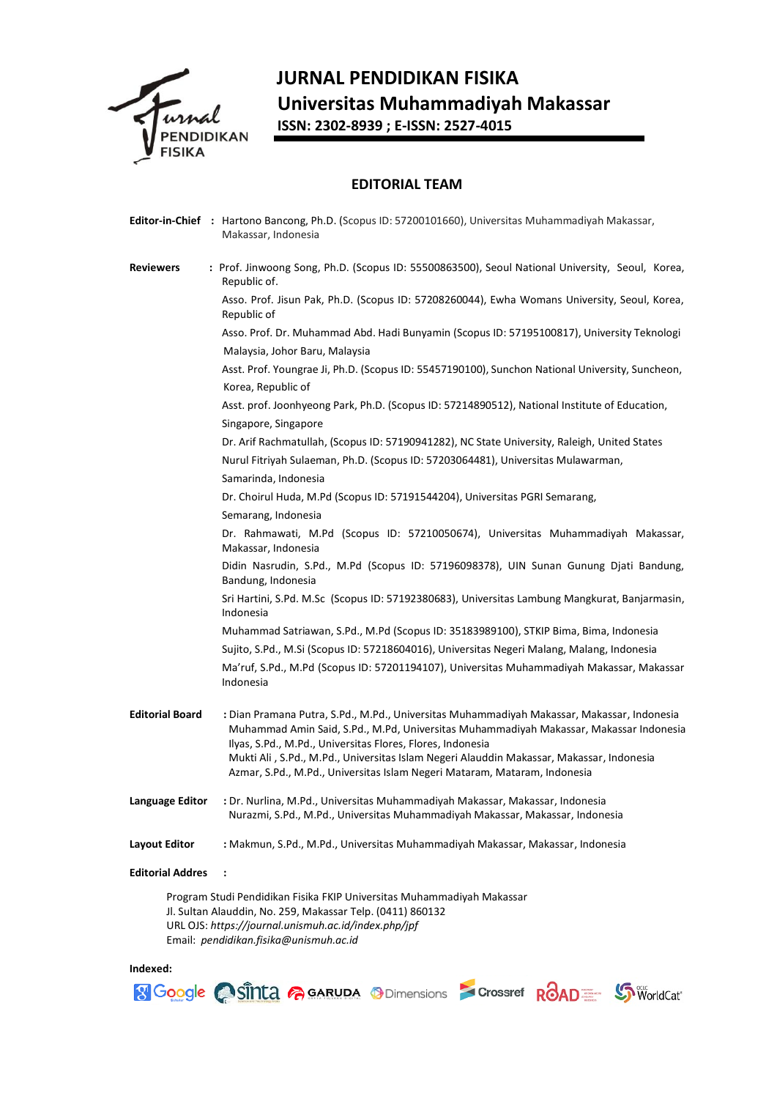

# **JURNAL PENDIDIKAN FISIKA Universitas Muhammadiyah Makassar ISSN: 2302-8939 ; E-ISSN: 2527-4015**

#### **EDITORIAL TEAM**

|                         | Editor-in-Chief: Hartono Bancong, Ph.D. (Scopus ID: 57200101660), Universitas Muhammadiyah Makassar,<br>Makassar, Indonesia                                                                                                                                                                                                                    |
|-------------------------|------------------------------------------------------------------------------------------------------------------------------------------------------------------------------------------------------------------------------------------------------------------------------------------------------------------------------------------------|
| <b>Reviewers</b>        | : Prof. Jinwoong Song, Ph.D. (Scopus ID: 55500863500), Seoul National University, Seoul, Korea,<br>Republic of.                                                                                                                                                                                                                                |
|                         | Asso. Prof. Jisun Pak, Ph.D. (Scopus ID: 57208260044), Ewha Womans University, Seoul, Korea,<br>Republic of                                                                                                                                                                                                                                    |
|                         | Asso. Prof. Dr. Muhammad Abd. Hadi Bunyamin (Scopus ID: 57195100817), University Teknologi<br>Malaysia, Johor Baru, Malaysia                                                                                                                                                                                                                   |
|                         | Asst. Prof. Youngrae Ji, Ph.D. (Scopus ID: 55457190100), Sunchon National University, Suncheon,                                                                                                                                                                                                                                                |
|                         | Korea, Republic of                                                                                                                                                                                                                                                                                                                             |
|                         | Asst. prof. Joonhyeong Park, Ph.D. (Scopus ID: 57214890512), National Institute of Education,                                                                                                                                                                                                                                                  |
|                         | Singapore, Singapore                                                                                                                                                                                                                                                                                                                           |
|                         | Dr. Arif Rachmatullah, (Scopus ID: 57190941282), NC State University, Raleigh, United States                                                                                                                                                                                                                                                   |
|                         | Nurul Fitriyah Sulaeman, Ph.D. (Scopus ID: 57203064481), Universitas Mulawarman,                                                                                                                                                                                                                                                               |
|                         | Samarinda, Indonesia                                                                                                                                                                                                                                                                                                                           |
|                         | Dr. Choirul Huda, M.Pd (Scopus ID: 57191544204), Universitas PGRI Semarang,                                                                                                                                                                                                                                                                    |
|                         | Semarang, Indonesia                                                                                                                                                                                                                                                                                                                            |
|                         | Dr. Rahmawati, M.Pd (Scopus ID: 57210050674), Universitas Muhammadiyah Makassar,<br>Makassar, Indonesia                                                                                                                                                                                                                                        |
|                         | Didin Nasrudin, S.Pd., M.Pd (Scopus ID: 57196098378), UIN Sunan Gunung Djati Bandung,<br>Bandung, Indonesia                                                                                                                                                                                                                                    |
|                         | Sri Hartini, S.Pd. M.Sc (Scopus ID: 57192380683), Universitas Lambung Mangkurat, Banjarmasin,<br>Indonesia                                                                                                                                                                                                                                     |
|                         | Muhammad Satriawan, S.Pd., M.Pd (Scopus ID: 35183989100), STKIP Bima, Bima, Indonesia                                                                                                                                                                                                                                                          |
|                         | Sujito, S.Pd., M.Si (Scopus ID: 57218604016), Universitas Negeri Malang, Malang, Indonesia                                                                                                                                                                                                                                                     |
|                         | Ma'ruf, S.Pd., M.Pd (Scopus ID: 57201194107), Universitas Muhammadiyah Makassar, Makassar<br>Indonesia                                                                                                                                                                                                                                         |
| <b>Editorial Board</b>  | : Dian Pramana Putra, S.Pd., M.Pd., Universitas Muhammadiyah Makassar, Makassar, Indonesia<br>Muhammad Amin Said, S.Pd., M.Pd, Universitas Muhammadiyah Makassar, Makassar Indonesia<br>Ilyas, S.Pd., M.Pd., Universitas Flores, Flores, Indonesia<br>Mukti Ali, S.Pd., M.Pd., Universitas Islam Negeri Alauddin Makassar, Makassar, Indonesia |
|                         | Azmar, S.Pd., M.Pd., Universitas Islam Negeri Mataram, Mataram, Indonesia                                                                                                                                                                                                                                                                      |
| Language Editor         | : Dr. Nurlina, M.Pd., Universitas Muhammadiyah Makassar, Makassar, Indonesia<br>Nurazmi, S.Pd., M.Pd., Universitas Muhammadiyah Makassar, Makassar, Indonesia                                                                                                                                                                                  |
| Layout Editor           | : Makmun, S.Pd., M.Pd., Universitas Muhammadiyah Makassar, Makassar, Indonesia                                                                                                                                                                                                                                                                 |
| <b>Editorial Addres</b> | $\ddot{\phantom{a}}$                                                                                                                                                                                                                                                                                                                           |

Program Studi Pendidikan Fisika FKIP Universitas Muhammadiyah Makassar Jl. Sultan Alauddin, No. 259, Makassar Telp. (0411) 860132 URL OJS: *https://journal.unismuh.ac.id/index.php/jpf* Email: *[pendidikan.fisika@unismuh.ac.id](mailto:pendidikan.fisika@unismuh.ac.id)*

#### **Indexed:**



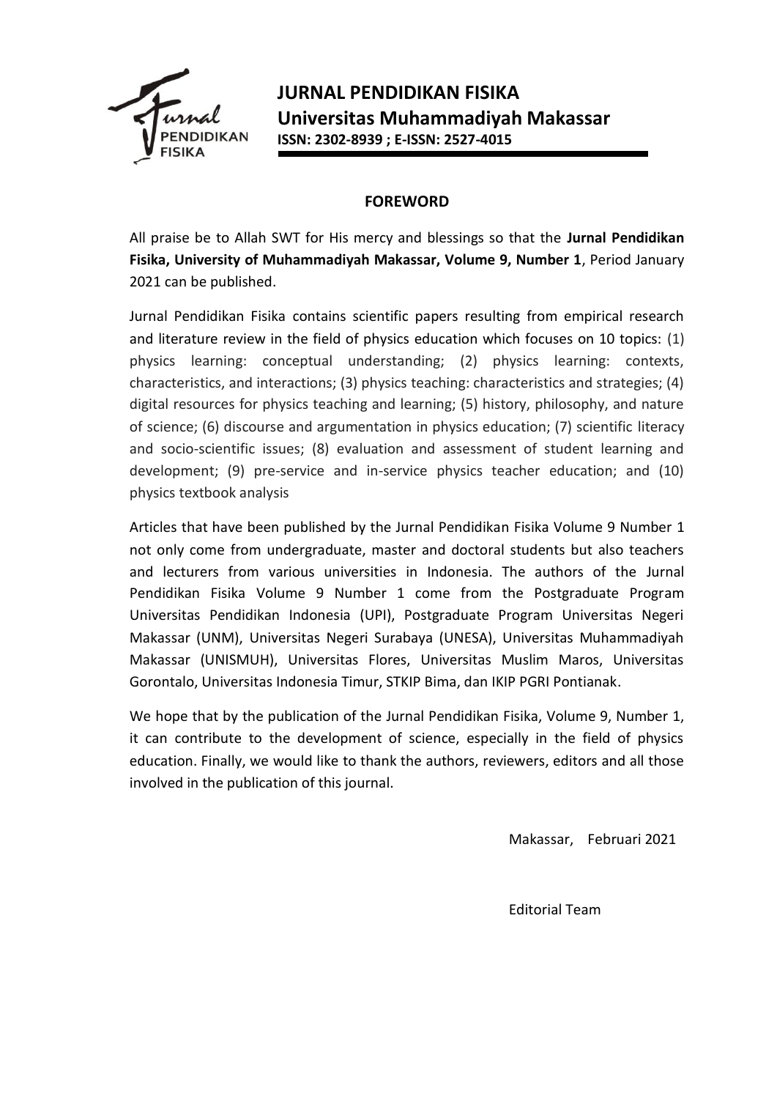

### **FOREWORD**

All praise be to Allah SWT for His mercy and blessings so that the **Jurnal Pendidikan Fisika, University of Muhammadiyah Makassar, Volume 9, Number 1**, Period January 2021 can be published.

Jurnal Pendidikan Fisika contains scientific papers resulting from empirical research and literature review in the field of physics education which focuses on 10 topics: (1) physics learning: conceptual understanding; (2) physics learning: contexts, characteristics, and interactions; (3) physics teaching: characteristics and strategies; (4) digital resources for physics teaching and learning; (5) history, philosophy, and nature of science; (6) discourse and argumentation in physics education; (7) scientific literacy and socio-scientific issues; (8) evaluation and assessment of student learning and development; (9) pre-service and in-service physics teacher education; and (10) physics textbook analysis

Articles that have been published by the Jurnal Pendidikan Fisika Volume 9 Number 1 not only come from undergraduate, master and doctoral students but also teachers and lecturers from various universities in Indonesia. The authors of the Jurnal Pendidikan Fisika Volume 9 Number 1 come from the Postgraduate Program Universitas Pendidikan Indonesia (UPI), Postgraduate Program Universitas Negeri Makassar (UNM), Universitas Negeri Surabaya (UNESA), Universitas Muhammadiyah Makassar (UNISMUH), Universitas Flores, Universitas Muslim Maros, Universitas Gorontalo, Universitas Indonesia Timur, STKIP Bima, dan IKIP PGRI Pontianak.

We hope that by the publication of the Jurnal Pendidikan Fisika, Volume 9, Number 1, it can contribute to the development of science, especially in the field of physics education. Finally, we would like to thank the authors, reviewers, editors and all those involved in the publication of this journal.

Makassar, Februari 2021

Editorial Team